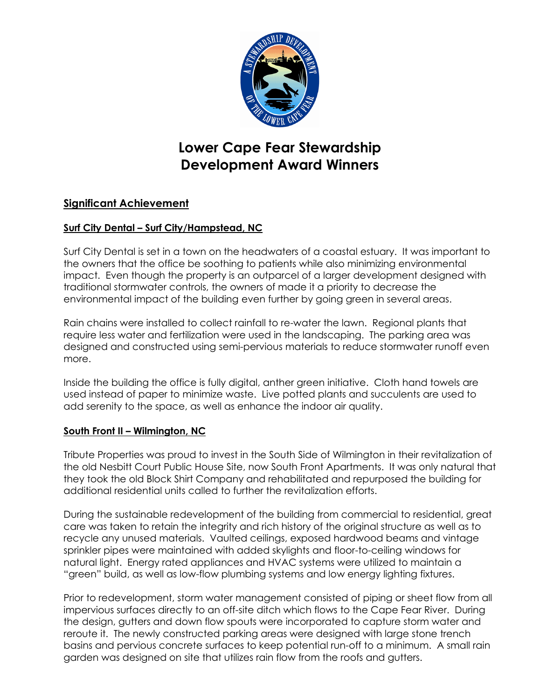

# **Lower Cape Fear Stewardship Development Award Winners**

## **Significant Achievement**

### **Surf City Dental – Surf City/Hampstead, NC**

Surf City Dental is set in a town on the headwaters of a coastal estuary. It was important to the owners that the office be soothing to patients while also minimizing environmental impact. Even though the property is an outparcel of a larger development designed with traditional stormwater controls, the owners of made it a priority to decrease the environmental impact of the building even further by going green in several areas.

Rain chains were installed to collect rainfall to re-water the lawn. Regional plants that require less water and fertilization were used in the landscaping. The parking area was designed and constructed using semi-pervious materials to reduce stormwater runoff even more.

Inside the building the office is fully digital, anther green initiative. Cloth hand towels are used instead of paper to minimize waste. Live potted plants and succulents are used to add serenity to the space, as well as enhance the indoor air quality.

#### **South Front II – Wilmington, NC**

Tribute Properties was proud to invest in the South Side of Wilmington in their revitalization of the old Nesbitt Court Public House Site, now South Front Apartments. It was only natural that they took the old Block Shirt Company and rehabilitated and repurposed the building for additional residential units called to further the revitalization efforts.

During the sustainable redevelopment of the building from commercial to residential, great care was taken to retain the integrity and rich history of the original structure as well as to recycle any unused materials. Vaulted ceilings, exposed hardwood beams and vintage sprinkler pipes were maintained with added skylights and floor-to-ceiling windows for natural light. Energy rated appliances and HVAC systems were utilized to maintain a "green" build, as well as low-flow plumbing systems and low energy lighting fixtures.

Prior to redevelopment, storm water management consisted of piping or sheet flow from all impervious surfaces directly to an off-site ditch which flows to the Cape Fear River. During the design, gutters and down flow spouts were incorporated to capture storm water and reroute it. The newly constructed parking areas were designed with large stone trench basins and pervious concrete surfaces to keep potential run-off to a minimum. A small rain garden was designed on site that utilizes rain flow from the roofs and gutters.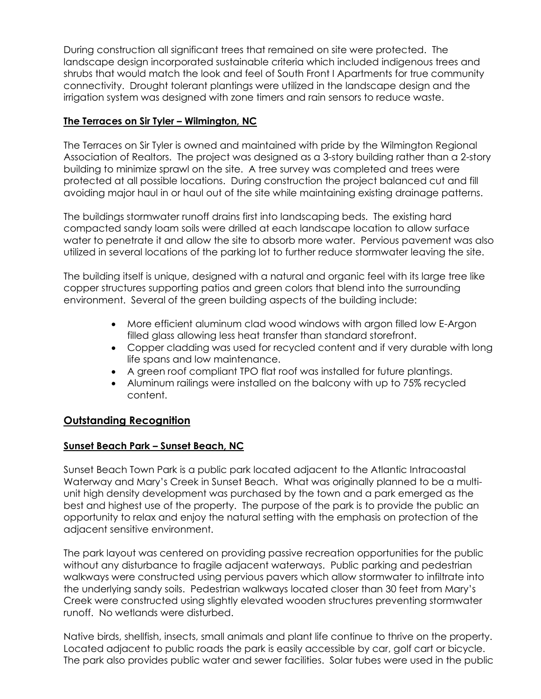During construction all significant trees that remained on site were protected. The landscape design incorporated sustainable criteria which included indigenous trees and shrubs that would match the look and feel of South Front I Apartments for true community connectivity. Drought tolerant plantings were utilized in the landscape design and the irrigation system was designed with zone timers and rain sensors to reduce waste.

#### **The Terraces on Sir Tyler – Wilmington, NC**

The Terraces on Sir Tyler is owned and maintained with pride by the Wilmington Regional Association of Realtors. The project was designed as a 3-story building rather than a 2-story building to minimize sprawl on the site. A tree survey was completed and trees were protected at all possible locations. During construction the project balanced cut and fill avoiding major haul in or haul out of the site while maintaining existing drainage patterns.

The buildings stormwater runoff drains first into landscaping beds. The existing hard compacted sandy loam soils were drilled at each landscape location to allow surface water to penetrate it and allow the site to absorb more water. Pervious pavement was also utilized in several locations of the parking lot to further reduce stormwater leaving the site.

The building itself is unique, designed with a natural and organic feel with its large tree like copper structures supporting patios and green colors that blend into the surrounding environment. Several of the green building aspects of the building include:

- More efficient aluminum clad wood windows with argon filled low E-Argon filled glass allowing less heat transfer than standard storefront.
- Copper cladding was used for recycled content and if very durable with long life spans and low maintenance.
- A green roof compliant TPO flat roof was installed for future plantings.
- Aluminum railings were installed on the balcony with up to 75% recycled content.

#### **Outstanding Recognition**

#### **Sunset Beach Park – Sunset Beach, NC**

Sunset Beach Town Park is a public park located adjacent to the Atlantic Intracoastal Waterway and Mary's Creek in Sunset Beach. What was originally planned to be a multiunit high density development was purchased by the town and a park emerged as the best and highest use of the property. The purpose of the park is to provide the public an opportunity to relax and enjoy the natural setting with the emphasis on protection of the adjacent sensitive environment.

The park layout was centered on providing passive recreation opportunities for the public without any disturbance to fragile adjacent waterways. Public parking and pedestrian walkways were constructed using pervious pavers which allow stormwater to infiltrate into the underlying sandy soils. Pedestrian walkways located closer than 30 feet from Mary's Creek were constructed using slightly elevated wooden structures preventing stormwater runoff. No wetlands were disturbed.

Native birds, shellfish, insects, small animals and plant life continue to thrive on the property. Located adjacent to public roads the park is easily accessible by car, golf cart or bicycle. The park also provides public water and sewer facilities. Solar tubes were used in the public